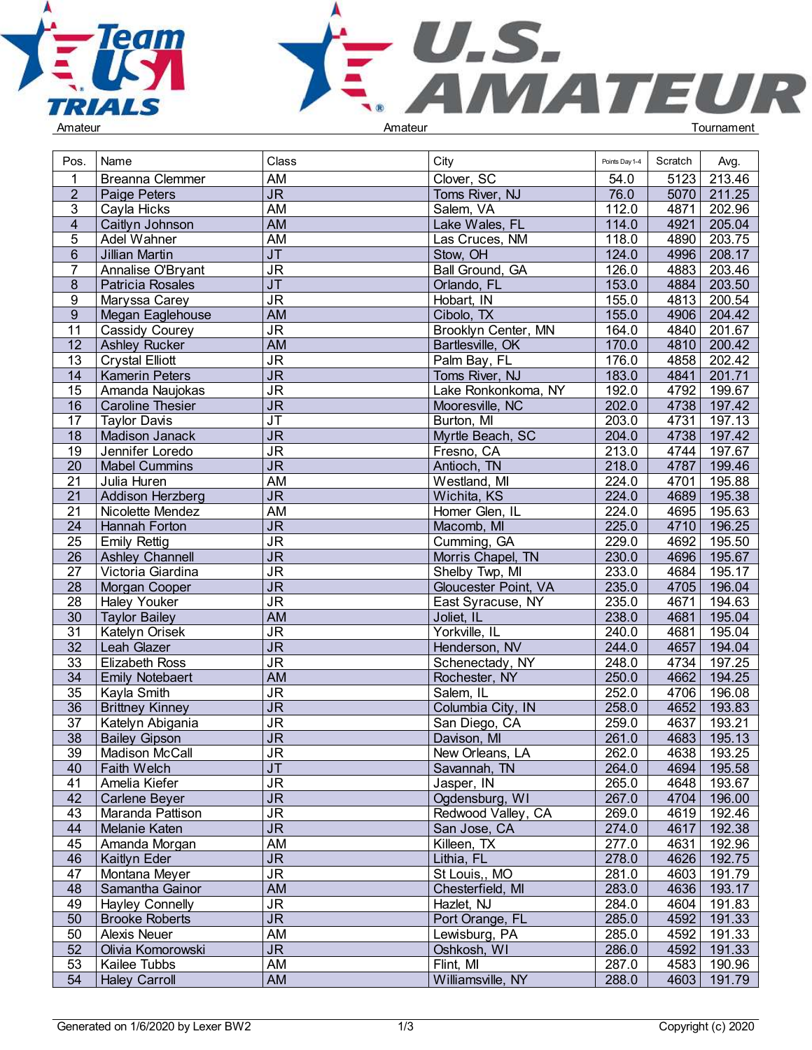



| Pos.                  | Name                    | Class                                                                  | City                 | Points Day 1-4 | Scratch      | Avg.          |  |
|-----------------------|-------------------------|------------------------------------------------------------------------|----------------------|----------------|--------------|---------------|--|
|                       | <b>Breanna Clemmer</b>  | AM                                                                     | Clover, SC           | 54.0           | 5123         | 213.46        |  |
| $\overline{2}$        | Paige Peters            | $\overline{\mathsf{JR}}$                                               | Toms River, NJ       | 76.0           | 5070         | 211.25        |  |
| 3                     | Cayla Hicks             | $\overline{AM}$                                                        | Salem, VA            | 112.0          | 4871         | 202.96        |  |
| $\overline{4}$        | Caitlyn Johnson         | <b>AM</b>                                                              | Lake Wales, FL       | 114.0          | 4921         | 205.04        |  |
| 5                     | Adel Wahner             | <b>AM</b>                                                              | Las Cruces, NM       | 118.0          | 4890         | 203.75        |  |
| 6                     | Jillian Martin          | J <sub>T</sub>                                                         | Stow, OH             | 124.0          | 4996         | 208.17        |  |
| $\overline{7}$        | Annalise O'Bryant       | $\overline{\mathsf{J}\mathsf{R}}$                                      | Ball Ground, GA      | 126.0          | 4883         | 203.46        |  |
| 8                     | Patricia Rosales        | $\overline{J}$                                                         | Orlando, FL          | 153.0          | 4884         | 203.50        |  |
| 9                     | Maryssa Carey           | <b>JR</b>                                                              | Hobart, IN           | 155.0          | 4813         | 200.54        |  |
| 9                     | Megan Eaglehouse        | <b>AM</b>                                                              | Cibolo, TX           | 155.0          | 4906         | 204.42        |  |
| 11                    | Cassidy Courey          | <b>JR</b>                                                              | Brooklyn Center, MN  | 164.0          | 4840         | 201.67        |  |
| $\overline{12}$       | <b>Ashley Rucker</b>    | <b>AM</b>                                                              | Bartlesville, OK     | 170.0          | 4810         | 200.42        |  |
| 13                    | <b>Crystal Elliott</b>  | <b>JR</b>                                                              | Palm Bay, FL         | 176.0          | 4858         | 202.42        |  |
| 14                    | <b>Kamerin Peters</b>   | J <sub>R</sub>                                                         | Toms River, NJ       | 183.0          | 4841         | 201.71        |  |
| $\overline{15}$       | Amanda Naujokas         | JR                                                                     | Lake Ronkonkoma, NY  | 192.0          | 4792         | 199.67        |  |
| 16                    | <b>Caroline Thesier</b> | $\overline{\mathsf{J}\mathsf{R}}$                                      | Mooresville, NC      | 202.0          | 4738         | 197.42        |  |
| 17                    | <b>Taylor Davis</b>     | $\overline{\mathsf{J}\mathsf{T}}$                                      | Burton, MI           | 203.0          | 4731         | 197.13        |  |
| 18                    | Madison Janack          | $\overline{\mathsf{JR}}$                                               | Myrtle Beach, SC     | 204.0          | 4738         | 197.42        |  |
| 19                    | Jennifer Loredo         | $\overline{\mathsf{JR}}$                                               | Fresno, CA           | 213.0          | 4744         | 197.67        |  |
| 20                    | <b>Mabel Cummins</b>    | $\overline{\mathsf{JR}}$                                               | Antioch, TN          | 218.0          | 4787         | 199.46        |  |
| 21                    | Julia Huren             | <b>AM</b>                                                              | Westland, MI         | 224.0          | 4701         | 195.88        |  |
| $\overline{21}$       | Addison Herzberg        | $\overline{\mathsf{J}\mathsf{R}}$                                      | Wichita, KS          | 224.0          | 4689         | 195.38        |  |
| 21                    | Nicolette Mendez        | AM                                                                     | Homer Glen, IL       | 224.0          | 4695         | 195.63        |  |
| 24                    | Hannah Forton           | $\overline{\mathsf{J}\mathsf{R}}$                                      | Macomb, MI           | 225.0          | 4710         | 196.25        |  |
| $\overline{25}$       |                         | JR                                                                     | Cumming, GA          | 229.0          | 4692         | 195.50        |  |
| $\overline{26}$       | <b>Emily Rettig</b>     | $\overline{\mathsf{J}\mathsf{R}}$                                      |                      |                |              |               |  |
|                       | Ashley Channell         |                                                                        | Morris Chapel, TN    | 230.0          | 4696         | 195.67        |  |
| $\overline{27}$       | Victoria Giardina       | $\overline{\mathsf{J}\mathsf{R}}$<br>$\overline{\mathsf{J}\mathsf{R}}$ | Shelby Twp, MI       | 233.0          | 4684         | 195.17        |  |
| 28<br>$\overline{28}$ | Morgan Cooper           | $\overline{\mathsf{J}\mathsf{R}}$                                      | Gloucester Point, VA | 235.0          | 4705<br>4671 | 196.04        |  |
|                       | <b>Haley Youker</b>     | $\overline{AM}$                                                        | East Syracuse, NY    | 235.0          |              | 194.63        |  |
| $\overline{30}$       | <b>Taylor Bailey</b>    |                                                                        | Joliet, IL           | 238.0          | 4681         | 195.04        |  |
| 31                    | Katelyn Orisek          | $\overline{\mathsf{J}\mathsf{R}}$                                      | Yorkville, IL        | 240.0          | 4681         | 195.04        |  |
| $\overline{32}$       | Leah Glazer             | $\overline{\mathsf{J}\mathsf{R}}$                                      | Henderson, NV        | 244.0          | 4657         | 194.04        |  |
| 33                    | <b>Elizabeth Ross</b>   | $\overline{\mathsf{J}\mathsf{R}}$                                      | Schenectady, NY      | 248.0          | 4734         | 197.25        |  |
| $\overline{34}$       | <b>Emily Notebaert</b>  | <b>AM</b>                                                              | Rochester, NY        | 250.0          | 4662         | 194.25        |  |
| $\overline{35}$       | Kayla Smith             | $\overline{\mathsf{J}\mathsf{R}}$                                      | Salem, IL            | 252.0          | 4706         | 196.08        |  |
| 36                    | <b>Brittney Kinney</b>  | $\overline{\mathsf{J}\mathsf{R}}$                                      | Columbia City, IN    | 258.0          | 4652         | 193.83        |  |
| 37                    | Katelyn Abigania        | <b>JR</b>                                                              | San Diego, CA        | 259.0          | 4637         | 193.21        |  |
| $\overline{38}$       | <b>Bailey Gipson</b>    | <b>JR</b>                                                              | Davison, MI          | 261.0          | 4683         | 195.13        |  |
| 39                    | Madison McCall          | JR                                                                     | New Orleans, LA      | 262.0          |              | 4638   193.25 |  |
| 40                    | <b>Faith Welch</b>      | J <sub>T</sub>                                                         | Savannah, TN         | 264.0          |              | 4694 195.58   |  |
| 41                    | Amelia Kiefer           | $\overline{\mathsf{J}\mathsf{R}}$                                      | Jasper, IN           | 265.0          |              | 4648 193.67   |  |
| 42                    | Carlene Beyer           | $\overline{\mathsf{J}\mathsf{R}}$                                      | Ogdensburg, WI       | 267.0          |              | 4704 196.00   |  |
| 43                    | Maranda Pattison        | <b>JR</b>                                                              | Redwood Valley, CA   | 269.0          | 4619         | 192.46        |  |
| 44                    | Melanie Katen           | $\overline{\mathsf{JR}}$                                               | San Jose, CA         | 274.0          | 4617         | 192.38        |  |
| 45                    | Amanda Morgan           | <b>AM</b>                                                              | Killeen, TX          | 277.0          | 4631         | 192.96        |  |
| 46                    | Kaitlyn Eder            | $\overline{\mathsf{JR}}$                                               | Lithia, FL           | 278.0          |              | 4626 192.75   |  |
| 47                    | Montana Meyer           | $\overline{\mathsf{J}\mathsf{R}}$                                      | St Louis,, MO        | 281.0          | 4603         | 191.79        |  |
| 48                    | Samantha Gainor         | AM                                                                     | Chesterfield, MI     | 283.0          | 4636         | 193.17        |  |
| 49                    | <b>Hayley Connelly</b>  | <b>JR</b>                                                              | Hazlet, NJ           | 284.0          | 4604         | 191.83        |  |
| 50                    | <b>Brooke Roberts</b>   | $\overline{\mathsf{JR}}$                                               | Port Orange, FL      | 285.0          | 4592         | 191.33        |  |
| 50                    | <b>Alexis Neuer</b>     | $\overline{AM}$                                                        | Lewisburg, PA        | 285.0          | 4592         | 191.33        |  |
| 52                    | Olivia Komorowski       | $\overline{\mathsf{J}\mathsf{R}}$                                      | Oshkosh, WI          | 286.0          | 4592         | 191.33        |  |
| 53                    | Kailee Tubbs            | AM                                                                     | Flint, MI            | 287.0          | 4583         | 190.96        |  |
| 54                    | <b>Haley Carroll</b>    | <b>AM</b>                                                              | Williamsville, NY    | 288.0          |              | 4603 191.79   |  |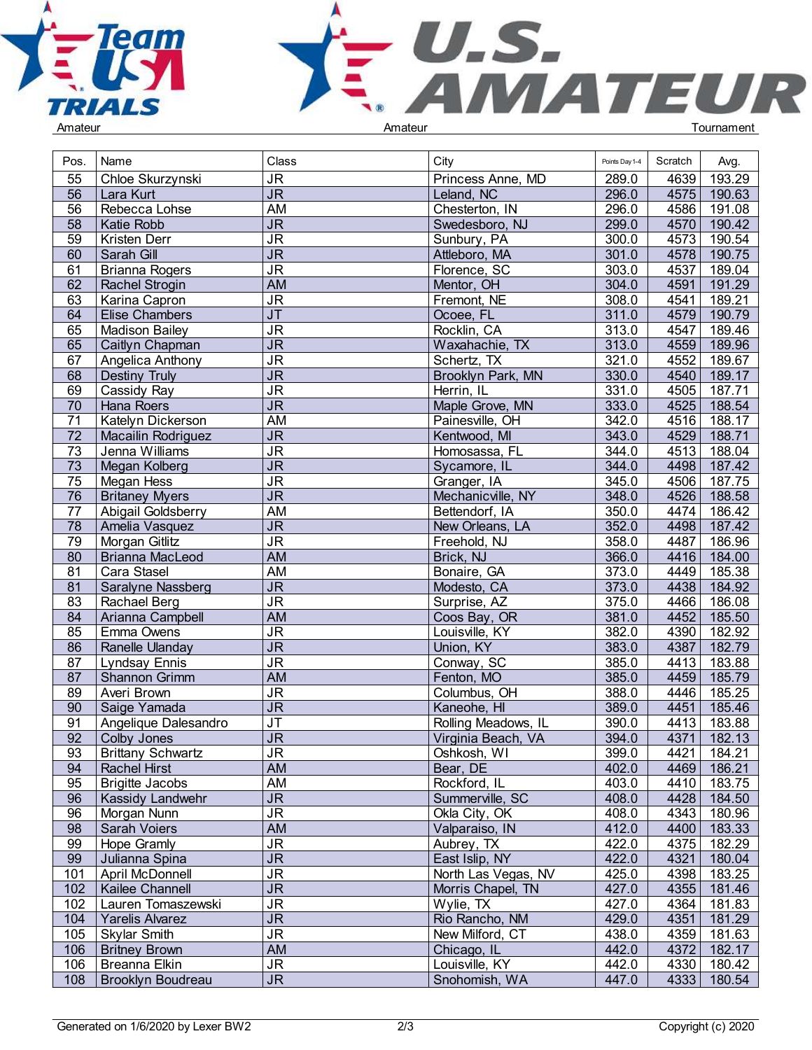



| Pos.            | Name                     | Class                                          | City                | Points Day 1-4 | Scratch      | Avg.             |  |
|-----------------|--------------------------|------------------------------------------------|---------------------|----------------|--------------|------------------|--|
| 55              | Chloe Skurzynski         | <b>JR</b>                                      | Princess Anne, MD   | 289.0          | 4639         | 193.29           |  |
| $\overline{56}$ | Lara Kurt                | $\overline{\mathsf{J}\mathsf{R}}$              | Leland, NC          | 296.0          | 4575         | 190.63           |  |
| 56              | Rebecca Lohse            | <b>AM</b>                                      | Chesterton, IN      | 296.0          | 4586         | 191.08           |  |
| $\overline{58}$ | Katie Robb               | $\overline{\mathsf{J}\mathsf{R}}$              | Swedesboro, NJ      | 299.0          | 4570         | 190.42           |  |
| 59              | Kristen Derr             | $\overline{\mathsf{J}\mathsf{R}}$              | Sunbury, PA         | 300.0          | 4573         | 190.54           |  |
| 60              | Sarah Gill               | <b>JR</b>                                      | Attleboro, MA       | 301.0          | 4578         | 190.75           |  |
| 61              | <b>Brianna Rogers</b>    | JR                                             | Florence, SC        | 303.0          | 4537         | 189.04           |  |
| 62              | Rachel Strogin           | <b>AM</b>                                      | Mentor, OH          | 304.0          | 4591         | 191.29           |  |
| 63              | Karina Capron            | <b>JR</b>                                      | Fremont, NE         | 308.0          | 4541         | 189.21           |  |
| 64              | <b>Elise Chambers</b>    | $\overline{\mathsf{J}\mathsf{T}}$              | Ocoee, FL           | 311.0          | 4579         | 190.79           |  |
| 65              | <b>Madison Bailey</b>    | <b>JR</b>                                      | Rocklin, CA         | 313.0          | 4547         | 189.46           |  |
| 65              | Caitlyn Chapman          | $\overline{\mathsf{J}\mathsf{R}}$              | Waxahachie, TX      | 313.0          | 4559         | 189.96           |  |
| 67              | Angelica Anthony         | $\overline{\mathsf{J}\mathsf{R}}$              | Schertz, TX         | 321.0          | 4552         | 189.67           |  |
| 68              | Destiny Truly            | $J\overline{R}$                                | Brooklyn Park, MN   | 330.0          | 4540         | 189.17           |  |
| 69              | Cassidy Ray              | $\overline{\mathsf{J}\mathsf{R}}$              | Herrin, IL          | 331.0          | 4505         | 187.71           |  |
| 70              | Hana Roers               | <b>JR</b>                                      | Maple Grove, MN     | 333.0          | 4525         | 188.54           |  |
| $\overline{71}$ |                          | <b>AM</b>                                      |                     |                |              |                  |  |
| $\overline{72}$ | Katelyn Dickerson        | $\overline{\mathsf{J}\mathsf{R}}$              | Painesville, OH     | 342.0          | 4516         | 188.17           |  |
|                 | Macailin Rodriguez       |                                                | Kentwood, MI        | 343.0          | 4529         | 188.71           |  |
| 73              | Jenna Williams           | <b>JR</b><br>$\overline{\mathsf{J}\mathsf{R}}$ | Homosassa, FL       | 344.0          | 4513         | 188.04           |  |
| 73              | Megan Kolberg            | <b>JR</b>                                      | Sycamore, IL        | 344.0<br>345.0 | 4498<br>4506 | 187.42<br>187.75 |  |
| 75<br>76        | Megan Hess               | J <sub>R</sub>                                 | Granger, IA         |                |              |                  |  |
|                 | <b>Britaney Myers</b>    | <b>AM</b>                                      | Mechanicville, NY   | 348.0          | 4526         | 188.58           |  |
| 77              | Abigail Goldsberry       |                                                | Bettendorf, IA      | 350.0          | 4474         | 186.42           |  |
| 78              | Amelia Vasquez           | $\overline{\mathsf{J}\mathsf{R}}$              | New Orleans, LA     | 352.0          | 4498         | 187.42           |  |
| 79              | Morgan Gitlitz           | $\overline{\mathsf{J}\mathsf{R}}$              | Freehold, NJ        | 358.0          | 4487         | 186.96           |  |
| 80              | <b>Brianna MacLeod</b>   | <b>AM</b>                                      | Brick, NJ           | 366.0          | 4416         | 184.00           |  |
| 81              | Cara Stasel              | <b>AM</b>                                      | Bonaire, GA         | 373.0          | 4449         | 185.38           |  |
| 81              | Saralyne Nassberg        | $\overline{\mathsf{J}\mathsf{R}}$              | Modesto, CA         | 373.0          | 4438         | 184.92           |  |
| $\overline{83}$ | Rachael Berg             | $\overline{\mathsf{J}\mathsf{R}}$              | Surprise, AZ        | 375.0          | 4466         | 186.08           |  |
| 84              | Arianna Campbell         | <b>AM</b>                                      | Coos Bay, OR        | 381.0          | 4452         | 185.50           |  |
| 85              | Emma Owens               | <b>JR</b>                                      | Louisville, KY      | 382.0          | 4390         | 182.92           |  |
| 86              | Ranelle Ulanday          | J <sub>R</sub>                                 | Union, KY           | 383.0          | 4387         | 182.79           |  |
| 87              | <b>Lyndsay Ennis</b>     | $\overline{\mathsf{J}\mathsf{R}}$              | Conway, SC          | 385.0          | 4413         | 183.88           |  |
| 87              | Shannon Grimm            | <b>AM</b>                                      | Fenton, MO          | 385.0          | 4459         | 185.79           |  |
| 89              | Averi Brown              | <b>JR</b>                                      | Columbus, OH        | 388.0          | 4446         | 185.25           |  |
| 90              | Saige Yamada             | $\overline{\mathsf{J}\mathsf{R}}$              | Kaneohe, HI         | 389.0          | 4451         | 185.46           |  |
| 91              | Angelique Dalesandro     | J <sub>T</sub>                                 | Rolling Meadows, IL | 390.0          | 4413         | 183.88           |  |
| 92              | Colby Jones              | $\overline{\mathsf{J}\mathsf{R}}$              | Virginia Beach, VA  | 394.0          | 4371         | 182.13           |  |
| 93              | <b>Brittany Schwartz</b> | <b>JR</b>                                      | Oshkosh, WI         | 399.0          | 4421         | 184.21           |  |
| 94              | <b>Rachel Hirst</b>      | AM                                             | Bear, DE            | 402.0          | 4469         | 186.21           |  |
| 95              | <b>Brigitte Jacobs</b>   | AM                                             | Rockford, IL        | 403.0          | 4410         | 183.75           |  |
| 96              | Kassidy Landwehr         | $\overline{\mathsf{J}\mathsf{R}}$              | Summerville, SC     | 408.0          | 4428         | 184.50           |  |
| 96              | Morgan Nunn              | $\overline{\mathsf{JR}}$                       | Okla City, OK       | 408.0          | 4343         | 180.96           |  |
| 98              | <b>Sarah Voiers</b>      | <b>AM</b>                                      | Valparaiso, IN      | 412.0          | 4400         | 183.33           |  |
| 99              | Hope Gramly              | <b>JR</b>                                      | Aubrey, TX          | 422.0          | 4375         | 182.29           |  |
| 99              | Julianna Spina           | <b>JR</b>                                      | East Islip, NY      | 422.0          | 4321         | 180.04           |  |
| 101             | April McDonnell          | $\overline{\mathsf{J}\mathsf{R}}$              | North Las Vegas, NV | 425.0          | 4398         | 183.25           |  |
| 102             | Kailee Channell          | J <sub>R</sub>                                 | Morris Chapel, TN   | 427.0          | 4355         | 181.46           |  |
| 102             | Lauren Tomaszewski       | $\overline{\mathsf{J}\mathsf{R}}$              | Wylie, TX           | 427.0          | 4364         | 181.83           |  |
| 104             | Yarelis Alvarez          | <b>JR</b>                                      | Rio Rancho, NM      | 429.0          | 4351         | 181.29           |  |
| 105             | <b>Skylar Smith</b>      | <b>JR</b>                                      | New Milford, CT     | 438.0          |              | 4359 181.63      |  |
| 106             | <b>Britney Brown</b>     | <b>AM</b>                                      | Chicago, IL         | 442.0          | 4372         | 182.17           |  |
| 106             | Breanna Elkin            | <b>JR</b>                                      | Louisville, KY      | 442.0          |              | 4330 180.42      |  |
| 108             | <b>Brooklyn Boudreau</b> | $\overline{\mathsf{JR}}$                       | Snohomish, WA       | 447.0          | 4333         | 180.54           |  |